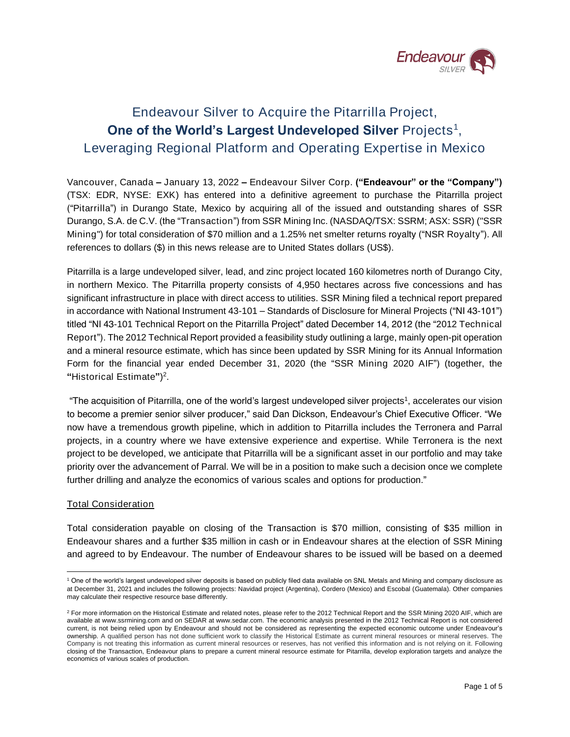

# Endeavour Silver to Acquire the Pitarrilla Project, One of the World's Largest Undeveloped Silver Projects<sup>1</sup>, Leveraging Regional Platform and Operating Expertise in Mexico

*Vancouver, Canada – January 13, 2022 –* Endeavour Silver Corp. ("Endeavour" or the "Company") (TSX: EDR, NYSE: EXK) has entered into a definitive agreement to purchase the Pitarrilla project ("Pitarrilla") in Durango State, Mexico by acquiring all of the issued and outstanding shares of SSR Durango, S.A. de C.V. (the "Transaction") from SSR Mining Inc. (NASDAQ/TSX: SSRM; ASX: SSR) ("SSR Mining") for total consideration of \$70 million and a 1.25% net smelter returns royalty ("NSR Royalty"). All references to dollars (\$) in this news release are to United States dollars (US\$).

Pitarrilla is a large undeveloped silver, lead, and zinc project located 160 kilometres north of Durango City, in northern Mexico. The Pitarrilla property consists of 4,950 hectares across five concessions and has significant infrastructure in place with direct access to utilities. SSR Mining filed a technical report prepared in accordance with National Instrument 43-101 – Standards of Disclosure for Mineral Projects ("NI 43-101") titled "NI 43-101 Technical Report on the Pitarrilla Project" dated December 14, 2012 (the "2012 Technical Report"). The 2012 Technical Report provided a feasibility study outlining a large, mainly open-pit operation and a mineral resource estimate, which has since been updated by SSR Mining for its Annual Information Form for the financial year ended December 31, 2020 (the "SSR Mining 2020 AIF") (together, the "Historical Estimate")<sup>2</sup>.

"The acquisition of Pitarrilla, one of the world's largest undeveloped silver projects<sup>1</sup>, accelerates our vision to become a premier senior silver producer," said Dan Dickson, Endeavour's Chief Executive Officer. "We now have a tremendous growth pipeline, which in addition to Pitarrilla includes the Terronera and Parral projects, in a country where we have extensive experience and expertise. While Terronera is the next project to be developed, we anticipate that Pitarrilla will be a significant asset in our portfolio and may take priority over the advancement of Parral. We will be in a position to make such a decision once we complete further drilling and analyze the economics of various scales and options for production."

## Total Consideration

Total consideration payable on closing of the Transaction is \$70 million, consisting of \$35 million in Endeavour shares and a further \$35 million in cash or in Endeavour shares at the election of SSR Mining and agreed to by Endeavour. The number of Endeavour shares to be issued will be based on a deemed

<sup>1</sup> One of the world's largest undeveloped silver deposits is based on publicly filed data available on SNL Metals and Mining and company disclosure as at December 31, 2021 and includes the following projects: Navidad project (Argentina), Cordero (Mexico) and Escobal (Guatemala). Other companies may calculate their respective resource base differently.

<sup>&</sup>lt;sup>2</sup> For more information on the Historical Estimate and related notes, please refer to the 2012 Technical Report and the SSR Mining 2020 AIF, which are available at www.ssrmining.com and on SEDAR at www.sedar.com. The economic analysis presented in the 2012 Technical Report is not considered current, is not being relied upon by Endeavour and should not be considered as representing the expected economic outcome under Endeavour's ownership. A qualified person has not done sufficient work to classify the Historical Estimate as current mineral resources or mineral reserves. The Company is not treating this information as current mineral resources or reserves, has not verified this information and is not relying on it. Following closing of the Transaction, Endeavour plans to prepare a current mineral resource estimate for Pitarrilla, develop exploration targets and analyze the economics of various scales of production.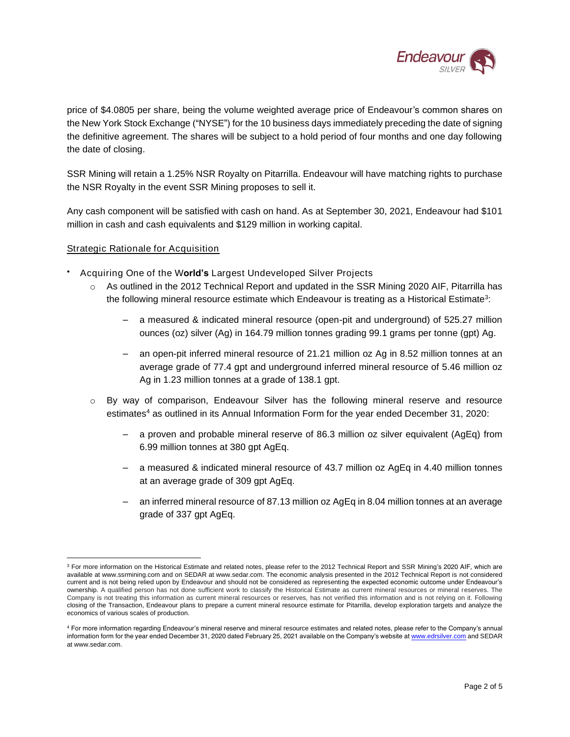

price of \$4.0805 per share, being the volume weighted average price of Endeavour's common shares on the New York Stock Exchange ("NYSE") for the 10 business days immediately preceding the date of signing the definitive agreement. The shares will be subject to a hold period of four months and one day following the date of closing.

SSR Mining will retain a 1.25% NSR Royalty on Pitarrilla. Endeavour will have matching rights to purchase the NSR Royalty in the event SSR Mining proposes to sell it.

Any cash component will be satisfied with cash on hand. As at September 30, 2021, Endeavour had \$101 million in cash and cash equivalents and \$129 million in working capital.

## Strategic Rationale for Acquisition

- Acquiring One of the World's Largest Undeveloped Silver Projects
	- As outlined in the 2012 Technical Report and updated in the SSR Mining 2020 AIF, Pitarrilla has the following mineral resource estimate which Endeavour is treating as a Historical Estimate<sup>3</sup>:
		- a measured & indicated mineral resource (open-pit and underground) of 525.27 million ounces (oz) silver (Ag) in 164.79 million tonnes grading 99.1 grams per tonne (gpt) Ag.
		- an open-pit inferred mineral resource of 21.21 million oz Ag in 8.52 million tonnes at an average grade of 77.4 gpt and underground inferred mineral resource of 5.46 million oz Ag in 1.23 million tonnes at a grade of 138.1 gpt.
	- $\circ$  By way of comparison, Endeavour Silver has the following mineral reserve and resource estimates<sup>4</sup> as outlined in its Annual Information Form for the year ended December 31, 2020:
		- a proven and probable mineral reserve of 86.3 million oz silver equivalent (AgEq) from 6.99 million tonnes at 380 gpt AgEq.
		- a measured & indicated mineral resource of 43.7 million oz AgEq in 4.40 million tonnes at an average grade of 309 gpt AgEq.
		- an inferred mineral resource of 87.13 million oz AgEq in 8.04 million tonnes at an average grade of 337 gpt AgEq.

<sup>&</sup>lt;sup>3</sup> For more information on the Historical Estimate and related notes, please refer to the 2012 Technical Report and SSR Mining's 2020 AIF, which are available at www.ssrmining.com and on SEDAR at www.sedar.com. The economic analysis presented in the 2012 Technical Report is not considered current and is not being relied upon by Endeavour and should not be considered as representing the expected economic outcome under Endeavour's ownership. A qualified person has not done sufficient work to classify the Historical Estimate as current mineral resources or mineral reserves. The Company is not treating this information as current mineral resources or reserves, has not verified this information and is not relying on it. Following closing of the Transaction, Endeavour plans to prepare a current mineral resource estimate for Pitarrilla, develop exploration targets and analyze the economics of various scales of production.

<sup>4</sup> For more information regarding Endeavour's mineral reserve and mineral resource estimates and related notes, please refer to the Company's annual information form for the year ended December 31, 2020 dated February 25, 2021 available on the Company's website a[t www.edrsilver.com](http://www.edrsilver.com/) and SEDAR at www.sedar.com.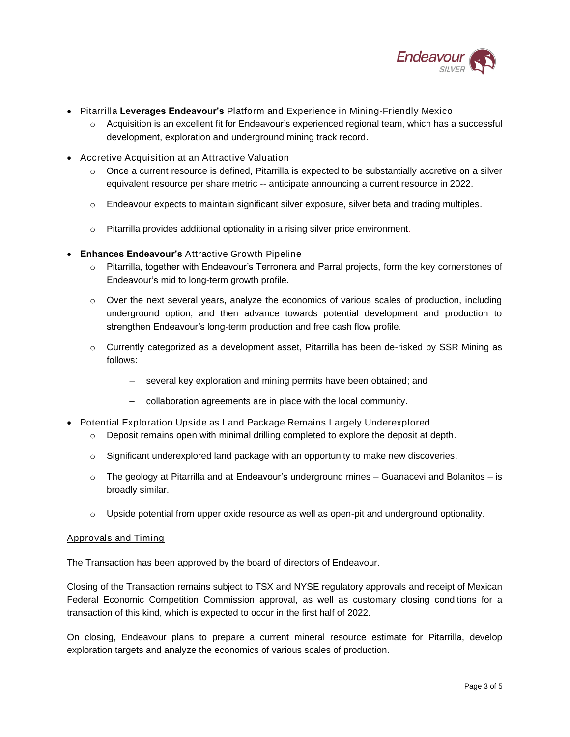

- Pitarrilla Leverages Endeavour's Platform and Experience in Mining-Friendly Mexico
	- $\circ$  Acquisition is an excellent fit for Endeavour's experienced regional team, which has a successful development, exploration and underground mining track record.
- Accretive Acquisition at an Attractive Valuation
	- $\circ$  Once a current resource is defined, Pitarrilla is expected to be substantially accretive on a silver equivalent resource per share metric -- anticipate announcing a current resource in 2022.
	- o Endeavour expects to maintain significant silver exposure, silver beta and trading multiples.
	- o Pitarrilla provides additional optionality in a rising silver price environment.
- Enhances Endeavour's Attractive Growth Pipeline
	- o Pitarrilla, together with Endeavour's Terronera and Parral projects, form the key cornerstones of Endeavour's mid to long-term growth profile.
	- o Over the next several years, analyze the economics of various scales of production, including underground option, and then advance towards potential development and production to strengthen Endeavour's long-term production and free cash flow profile.
	- o Currently categorized as a development asset, Pitarrilla has been de-risked by SSR Mining as follows:
		- several key exploration and mining permits have been obtained; and
		- collaboration agreements are in place with the local community.
- Potential Exploration Upside as Land Package Remains Largely Underexplored
	- $\circ$  Deposit remains open with minimal drilling completed to explore the deposit at depth.
	- $\circ$  Significant underexplored land package with an opportunity to make new discoveries.
	- $\circ$  The geology at Pitarrilla and at Endeavour's underground mines Guanacevi and Bolanitos is broadly similar.
	- $\circ$  Upside potential from upper oxide resource as well as open-pit and underground optionality.

## Approvals and Timing

The Transaction has been approved by the board of directors of Endeavour.

Closing of the Transaction remains subject to TSX and NYSE regulatory approvals and receipt of Mexican Federal Economic Competition Commission approval, as well as customary closing conditions for a transaction of this kind, which is expected to occur in the first half of 2022.

On closing, Endeavour plans to prepare a current mineral resource estimate for Pitarrilla, develop exploration targets and analyze the economics of various scales of production.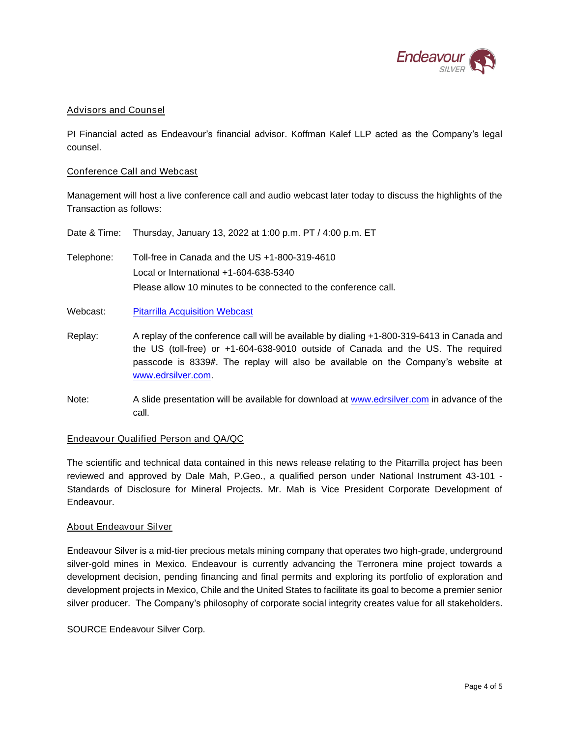

## Advisors and Counsel

PI Financial acted as Endeavour's financial advisor. Koffman Kalef LLP acted as the Company's legal counsel.

### Conference Call and Webcast

Management will host a live conference call and audio webcast later today to discuss the highlights of the Transaction as follows:

|            | Date & Time: Thursday, January 13, 2022 at 1:00 p.m. PT / 4:00 p.m. ET                                                                                          |
|------------|-----------------------------------------------------------------------------------------------------------------------------------------------------------------|
| Telephone: | Toll-free in Canada and the US $+1-800-319-4610$<br>Local or International $+1-604-638-5340$<br>Please allow 10 minutes to be connected to the conference call. |
| Webcast:   | <b>Pitarrilla Acquisition Webcast</b>                                                                                                                           |

- Replay: A replay of the conference call will be available by dialing +1-800-319-6413 in Canada and the US (toll-free) or +1-604-638-9010 outside of Canada and the US. The required passcode is 8339#. The replay will also be available on the Company's website at [www.edrsilver.com.](http://www.edrsilver.com/)
- Note: A slide presentation will be available for download at [www.edrsilver.com](http://www.edrsilver.com/) in advance of the call.

## Endeavour Qualified Person and QA/QC

The scientific and technical data contained in this news release relating to the Pitarrilla project has been reviewed and approved by Dale Mah, P.Geo., a qualified person under National Instrument 43-101 - Standards of Disclosure for Mineral Projects. Mr. Mah is Vice President Corporate Development of Endeavour.

## About Endeavour Silver

Endeavour Silver is a mid-tier precious metals mining company that operates two high-grade, underground silver-gold mines in Mexico. Endeavour is currently advancing the Terronera mine project towards a development decision, pending financing and final permits and exploring its portfolio of exploration and development projects in Mexico, Chile and the United States to facilitate its goal to become a premier senior silver producer. The Company's philosophy of corporate social integrity creates value for all stakeholders.

SOURCE Endeavour Silver Corp.